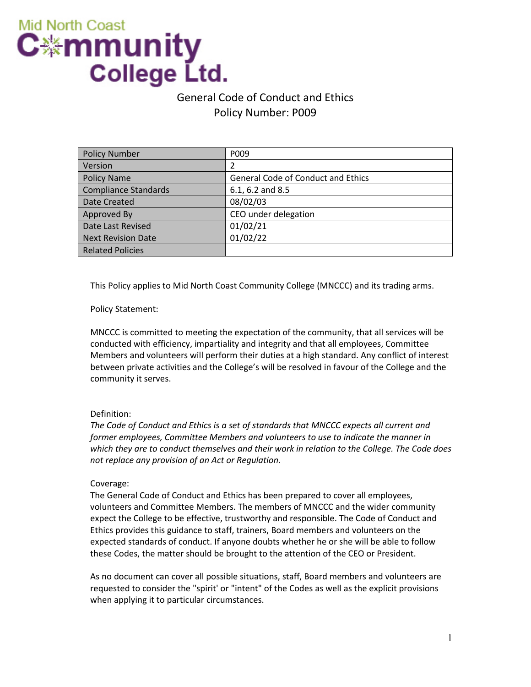# **Mid North Coast** C⋇mmunity College Ltd.

# General Code of Conduct and Ethics Policy Number: P009

| <b>Policy Number</b>        | P <sub>009</sub>                          |
|-----------------------------|-------------------------------------------|
| Version                     | 2                                         |
| <b>Policy Name</b>          | <b>General Code of Conduct and Ethics</b> |
| <b>Compliance Standards</b> | 6.1, 6.2 and 8.5                          |
| Date Created                | 08/02/03                                  |
| Approved By                 | CEO under delegation                      |
| Date Last Revised           | 01/02/21                                  |
| <b>Next Revision Date</b>   | 01/02/22                                  |
| <b>Related Policies</b>     |                                           |

This Policy applies to Mid North Coast Community College (MNCCC) and its trading arms.

Policy Statement:

MNCCC is committed to meeting the expectation of the community, that all services will be conducted with efficiency, impartiality and integrity and that all employees, Committee Members and volunteers will perform their duties at a high standard. Any conflict of interest between private activities and the College's will be resolved in favour of the College and the community it serves.

## Definition:

*The Code of Conduct and Ethics is a set of standards that MNCCC expects all current and former employees, Committee Members and volunteers to use to indicate the manner in which they are to conduct themselves and their work in relation to the College. The Code does not replace any provision of an Act or Regulation.*

## Coverage:

The General Code of Conduct and Ethics has been prepared to cover all employees, volunteers and Committee Members. The members of MNCCC and the wider community expect the College to be effective, trustworthy and responsible. The Code of Conduct and Ethics provides this guidance to staff, trainers, Board members and volunteers on the expected standards of conduct. If anyone doubts whether he or she will be able to follow these Codes, the matter should be brought to the attention of the CEO or President.

As no document can cover all possible situations, staff, Board members and volunteers are requested to consider the "spirit' or "intent" of the Codes as well as the explicit provisions when applying it to particular circumstances.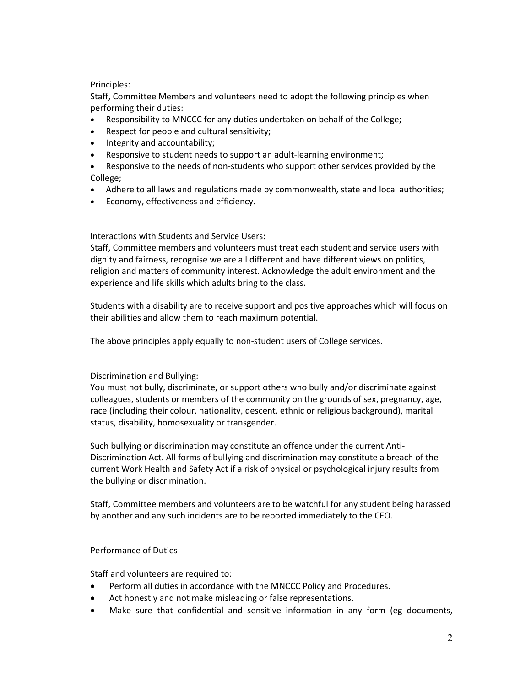#### Principles:

Staff, Committee Members and volunteers need to adopt the following principles when performing their duties:

- Responsibility to MNCCC for any duties undertaken on behalf of the College;
- Respect for people and cultural sensitivity;
- Integrity and accountability;
- Responsive to student needs to support an adult-learning environment;
- Responsive to the needs of non-students who support other services provided by the College;
- Adhere to all laws and regulations made by commonwealth, state and local authorities;
- Economy, effectiveness and efficiency.

#### Interactions with Students and Service Users:

Staff, Committee members and volunteers must treat each student and service users with dignity and fairness, recognise we are all different and have different views on politics, religion and matters of community interest. Acknowledge the adult environment and the experience and life skills which adults bring to the class.

Students with a disability are to receive support and positive approaches which will focus on their abilities and allow them to reach maximum potential.

The above principles apply equally to non-student users of College services.

#### Discrimination and Bullying:

You must not bully, discriminate, or support others who bully and/or discriminate against colleagues, students or members of the community on the grounds of sex, pregnancy, age, race (including their colour, nationality, descent, ethnic or religious background), marital status, disability, homosexuality or transgender.

Such bullying or discrimination may constitute an offence under the current Anti-Discrimination Act. All forms of bullying and discrimination may constitute a breach of the current Work Health and Safety Act if a risk of physical or psychological injury results from the bullying or discrimination.

Staff, Committee members and volunteers are to be watchful for any student being harassed by another and any such incidents are to be reported immediately to the CEO.

#### Performance of Duties

Staff and volunteers are required to:

- Perform all duties in accordance with the MNCCC Policy and Procedures.
- Act honestly and not make misleading or false representations.
- Make sure that confidential and sensitive information in any form (eg documents,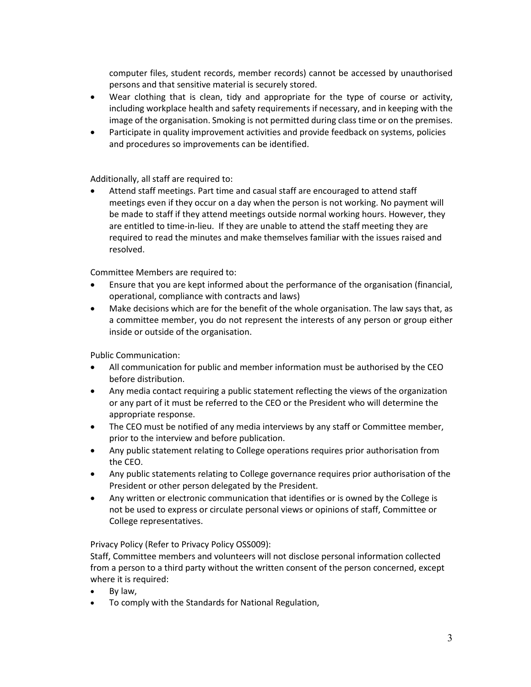computer files, student records, member records) cannot be accessed by unauthorised persons and that sensitive material is securely stored.

- Wear clothing that is clean, tidy and appropriate for the type of course or activity, including workplace health and safety requirements if necessary, and in keeping with the image of the organisation. Smoking is not permitted during class time or on the premises.
- Participate in quality improvement activities and provide feedback on systems, policies and procedures so improvements can be identified.

Additionally, all staff are required to:

Attend staff meetings. Part time and casual staff are encouraged to attend staff meetings even if they occur on a day when the person is not working. No payment will be made to staff if they attend meetings outside normal working hours. However, they are entitled to time-in-lieu. If they are unable to attend the staff meeting they are required to read the minutes and make themselves familiar with the issues raised and resolved.

Committee Members are required to:

- Ensure that you are kept informed about the performance of the organisation (financial, operational, compliance with contracts and laws)
- Make decisions which are for the benefit of the whole organisation. The law says that, as a committee member, you do not represent the interests of any person or group either inside or outside of the organisation.

Public Communication:

- All communication for public and member information must be authorised by the CEO before distribution.
- Any media contact requiring a public statement reflecting the views of the organization or any part of it must be referred to the CEO or the President who will determine the appropriate response.
- The CEO must be notified of any media interviews by any staff or Committee member, prior to the interview and before publication.
- Any public statement relating to College operations requires prior authorisation from the CEO.
- Any public statements relating to College governance requires prior authorisation of the President or other person delegated by the President.
- Any written or electronic communication that identifies or is owned by the College is not be used to express or circulate personal views or opinions of staff, Committee or College representatives.

Privacy Policy (Refer to Privacy Policy OSS009):

Staff, Committee members and volunteers will not disclose personal information collected from a person to a third party without the written consent of the person concerned, except where it is required:

- By law,
- To comply with the Standards for National Regulation,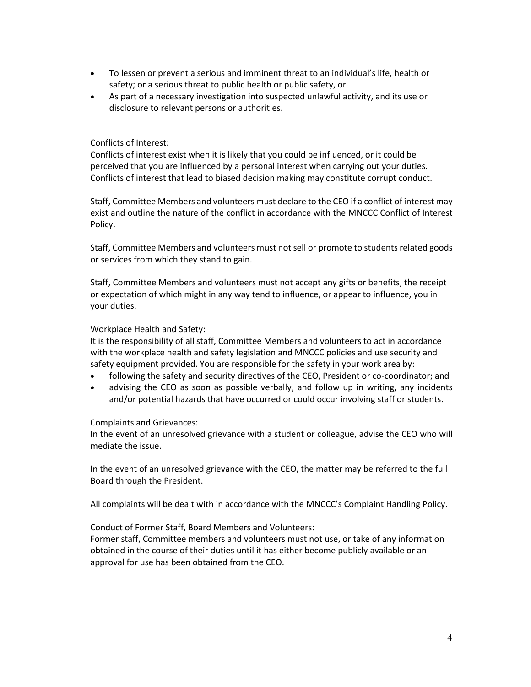- To lessen or prevent a serious and imminent threat to an individual's life, health or safety; or a serious threat to public health or public safety, or
- As part of a necessary investigation into suspected unlawful activity, and its use or disclosure to relevant persons or authorities.

#### Conflicts of Interest:

Conflicts of interest exist when it is likely that you could be influenced, or it could be perceived that you are influenced by a personal interest when carrying out your duties. Conflicts of interest that lead to biased decision making may constitute corrupt conduct.

Staff, Committee Members and volunteers must declare to the CEO if a conflict of interest may exist and outline the nature of the conflict in accordance with the MNCCC Conflict of Interest Policy.

Staff, Committee Members and volunteers must not sell or promote to students related goods or services from which they stand to gain.

Staff, Committee Members and volunteers must not accept any gifts or benefits, the receipt or expectation of which might in any way tend to influence, or appear to influence, you in your duties.

#### Workplace Health and Safety:

It is the responsibility of all staff, Committee Members and volunteers to act in accordance with the workplace health and safety legislation and MNCCC policies and use security and safety equipment provided. You are responsible for the safety in your work area by:

- following the safety and security directives of the CEO, President or co-coordinator; and
- advising the CEO as soon as possible verbally, and follow up in writing, any incidents and/or potential hazards that have occurred or could occur involving staff or students.

#### Complaints and Grievances:

In the event of an unresolved grievance with a student or colleague, advise the CEO who will mediate the issue.

In the event of an unresolved grievance with the CEO, the matter may be referred to the full Board through the President.

All complaints will be dealt with in accordance with the MNCCC's Complaint Handling Policy.

#### Conduct of Former Staff, Board Members and Volunteers:

Former staff, Committee members and volunteers must not use, or take of any information obtained in the course of their duties until it has either become publicly available or an approval for use has been obtained from the CEO.